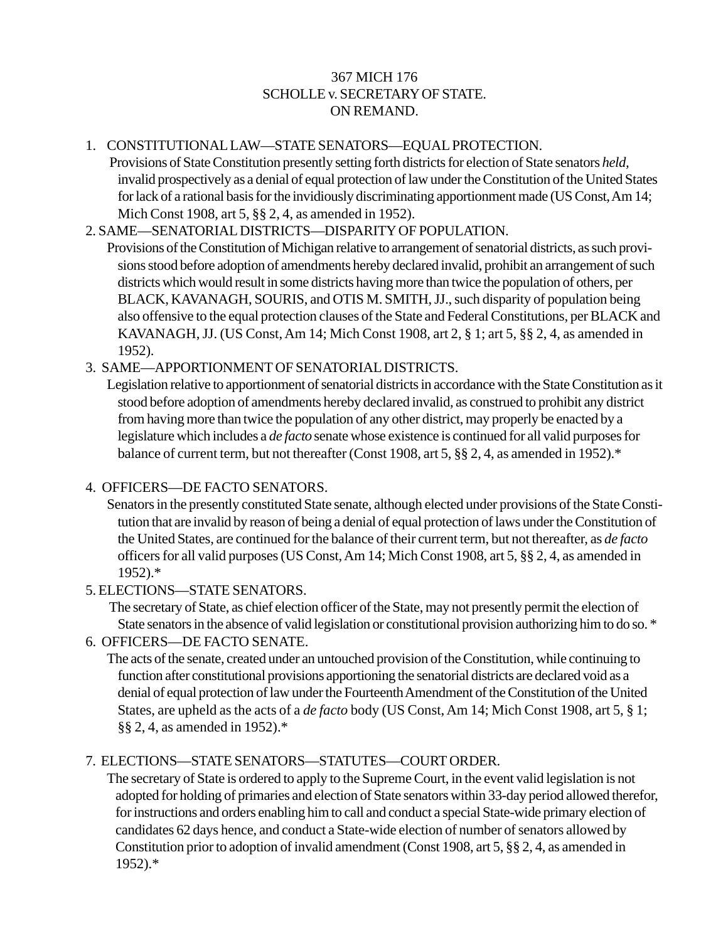## 367 MICH 176 SCHOLLE v. SECRETARY OF STATE. ON REMAND.

## 1. CONSTITUTIONAL LAW—STATE SENATORS—EQUAL PROTECTION.

 Provisions of State Constitution presently setting forth districts for election of State senators *held,* invalid prospectively as a denial of equal protection of law under the Constitution of the United States for lack of a rational basis for the invidiously discriminating apportionment made (US Const, Am 14; Mich Const 1908, art 5, §§ 2, 4, as amended in 1952).

## 2. SAME—SENATORIAL DISTRICTS—DISPARITY OF POPULATION.

Provisions of the Constitution of Michigan relative to arrangement of senatorial districts, as such provisions stood before adoption of amendments hereby declared invalid, prohibit an arrangement of such districts which would result in some districts having more than twice the population of others, per BLACK, KAVANAGH, SOURIS, and OTIS M. SMITH, JJ., such disparity of population being also offensive to the equal protection clauses of the State and Federal Constitutions, per BLACK and KAVANAGH, JJ. (US Const, Am 14; Mich Const 1908, art 2, § 1; art 5, §§ 2, 4, as amended in 1952).

## 3. SAME—APPORTIONMENT OF SENATORIAL DISTRICTS.

Legislation relative to apportionment of senatorial districts in accordance with the State Constitution as it stood before adoption of amendments hereby declared invalid, as construed to prohibit any district from having more than twice the population of any other district, may properly be enacted by a legislature which includes a *de facto* senate whose existence is continued for all valid purposes for balance of current term, but not thereafter (Const 1908, art 5, §§ 2, 4, as amended in 1952).\*

#### 4. OFFICERS—DE FACTO SENATORS.

Senators in the presently constituted State senate, although elected under provisions of the State Constitution that are invalid by reason of being a denial of equal protection of laws under the Constitution of the United States, are continued for the balance of their current term, but not thereafter, as *de facto* officers for all valid purposes (US Const, Am 14; Mich Const 1908, art 5, §§ 2, 4, as amended in 1952).\*

# 5. ELECTIONS—STATE SENATORS.

The secretary of State, as chief election officer of the State, may not presently permit the election of State senators in the absence of valid legislation or constitutional provision authorizing him to do so. \*

## 6. OFFICERS—DE FACTO SENATE.

The acts of the senate, created under an untouched provision of the Constitution, while continuing to function after constitutional provisions apportioning the senatorial districts are declared void as a denial of equal protection of law under the Fourteenth Amendment of the Constitution of the United States, are upheld as the acts of a *de facto* body (US Const, Am 14; Mich Const 1908, art 5, § 1; §§ 2, 4, as amended in 1952).\*

# 7. ELECTIONS—STATE SENATORS—STATUTES—COURT ORDER.

The secretary of State is ordered to apply to the Supreme Court, in the event valid legislation is not adopted for holding of primaries and election of State senators within 33-day period allowed therefor, for instructions and orders enabling him to call and conduct a special State-wide primary election of candidates 62 days hence, and conduct a State-wide election of number of senators allowed by Constitution prior to adoption of invalid amendment (Const 1908, art 5, §§ 2, 4, as amended in 1952).\*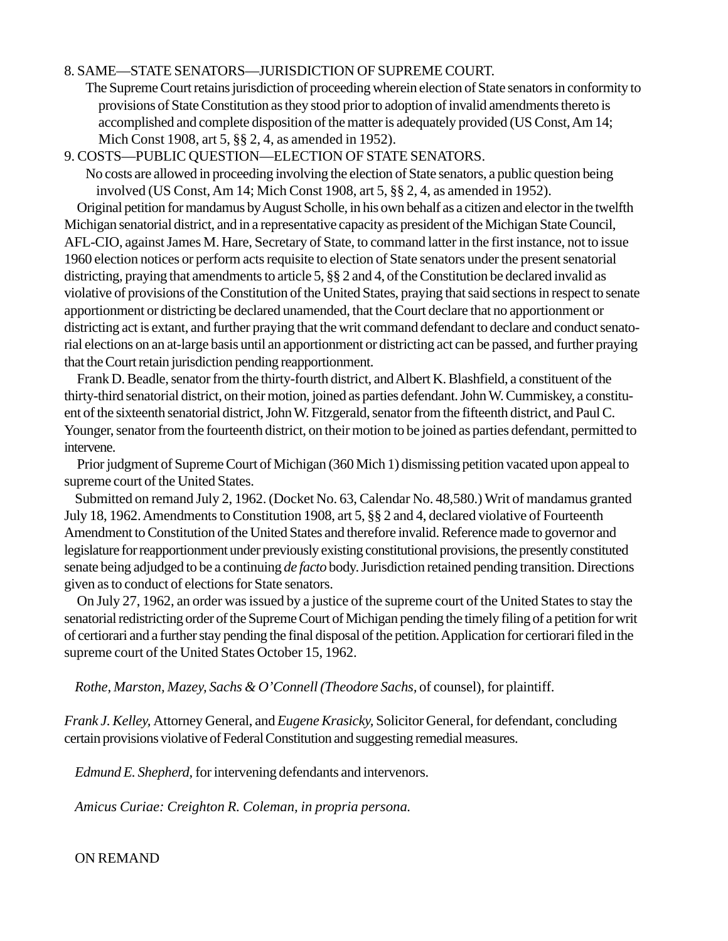#### 8. SAME—STATE SENATORS—JURISDICTION OF SUPREME COURT.

The Supreme Court retains jurisdiction of proceeding wherein election of State senators in conformity to provisions of State Constitution as they stood prior to adoption of invalid amendments thereto is accomplished and complete disposition of the matter is adequately provided (US Const, Am 14; Mich Const 1908, art 5, §§ 2, 4, as amended in 1952).

9. COSTS—PUBLIC QUESTION—ELECTION OF STATE SENATORS.

No costs are allowed in proceeding involving the election of State senators, a public question being involved (US Const, Am 14; Mich Const 1908, art 5, §§ 2, 4, as amended in 1952). Original petition for mandamus by August Scholle, in his own behalf as a citizen and elector in the twelfth Michigan senatorial district, and in a representative capacity as president of the Michigan State Council, AFL-CIO, against James M. Hare, Secretary of State, to command latter in the first instance, not to issue 1960 election notices or perform acts requisite to election of State senators under the present senatorial districting, praying that amendments to article 5, §§ 2 and 4, of the Constitution be declared invalid as violative of provisions of the Constitution of the United States, praying that said sections in respect to senate apportionment or districting be declared unamended, that the Court declare that no apportionment or districting act is extant, and further praying that the writ command defendant to declare and conduct senatorial elections on an at-large basis until an apportionment or districting act can be passed, and further praying that the Court retain jurisdiction pending reapportionment.

Frank D. Beadle, senator from the thirty-fourth district, and Albert K. Blashfield, a constituent of the thirty-third senatorial district, on their motion, joined as parties defendant. John W. Cummiskey, a constituent of the sixteenth senatorial district, John W. Fitzgerald, senator from the fifteenth district, and Paul C. Younger, senator from the fourteenth district, on their motion to be joined as parties defendant, permitted to intervene.

Prior judgment of Supreme Court of Michigan (360 Mich 1) dismissing petition vacated upon appeal to supreme court of the United States.

Submitted on remand July 2, 1962. (Docket No. 63, Calendar No. 48,580.) Writ of mandamus granted July 18, 1962. Amendments to Constitution 1908, art 5, §§ 2 and 4, declared violative of Fourteenth Amendment to Constitution of the United States and therefore invalid. Reference made to governor and legislature for reapportionment under previously existing constitutional provisions, the presently constituted senate being adjudged to be a continuing *de facto* body. Jurisdiction retained pending transition. Directions given as to conduct of elections for State senators.

On July 27, 1962, an order was issued by a justice of the supreme court of the United States to stay the senatorial redistricting order of the Supreme Court of Michigan pending the timely filing of a petition for writ of certiorari and a further stay pending the final disposal of the petition. Application for certiorari filed in the supreme court of the United States October 15, 1962.

*Rothe, Marston, Mazey, Sachs & O'Connell (Theodore Sachs,* of counsel), for plaintiff.

*Frank J. Kelley,* Attorney General, and *Eugene Krasicky,* Solicitor General, for defendant, concluding certain provisions violative of Federal Constitution and suggesting remedial measures.

*Edmund E. Shepherd,* for intervening defendants and intervenors.

*Amicus Curiae: Creighton R. Coleman, in propria persona.*

ON REMAND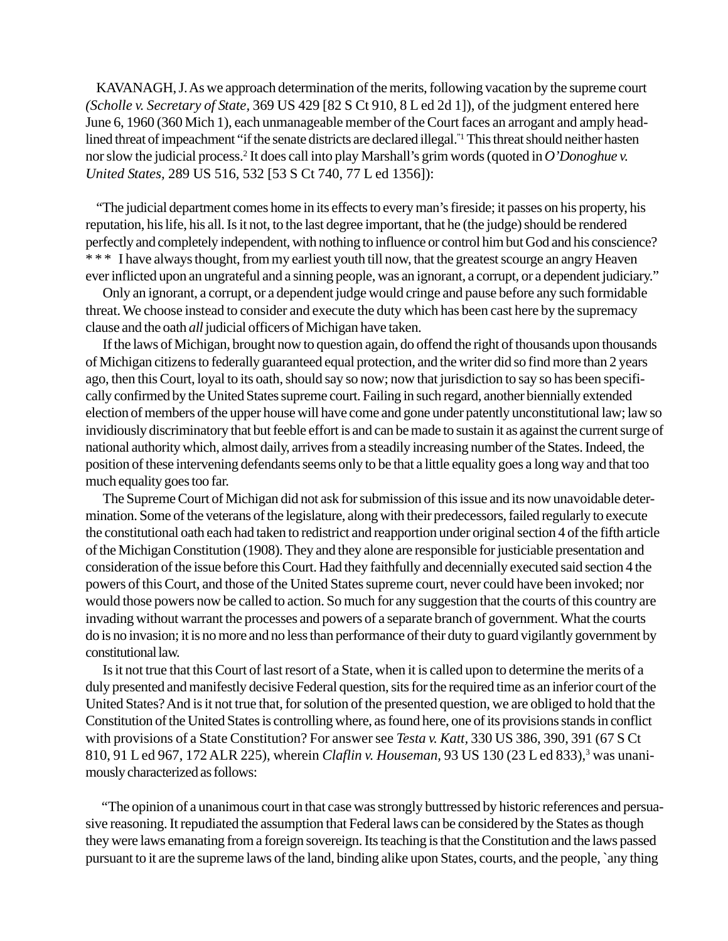KAVANAGH, J. As we approach determination of the merits, following vacation by the supreme court *(Scholle v. Secretary of State,* 369 US 429 [82 S Ct 910, 8 L ed 2d 1]), of the judgment entered here June 6, 1960 (360 Mich 1), each unmanageable member of the Court faces an arrogant and amply headlined threat of impeachment "if the senate districts are declared illegal."<sup>1</sup> This threat should neither hasten nor slow the judicial process.2 It does call into play Marshall's grim words (quoted in *O'Donoghue v. United States,* 289 US 516, 532 [53 S Ct 740, 77 L ed 1356]):

"The judicial department comes home in its effects to every man's fireside; it passes on his property, his reputation, his life, his all. Is it not, to the last degree important, that he (the judge) should be rendered perfectly and completely independent, with nothing to influence or control him but God and his conscience? \* \* \* I have always thought, from my earliest youth till now, that the greatest scourge an angry Heaven ever inflicted upon an ungrateful and a sinning people, was an ignorant, a corrupt, or a dependent judiciary."

Only an ignorant, a corrupt, or a dependent judge would cringe and pause before any such formidable threat. We choose instead to consider and execute the duty which has been cast here by the supremacy clause and the oath *all* judicial officers of Michigan have taken.

If the laws of Michigan, brought now to question again, do offend the right of thousands upon thousands of Michigan citizens to federally guaranteed equal protection, and the writer did so find more than 2 years ago, then this Court, loyal to its oath, should say so now; now that jurisdiction to say so has been specifically confirmed by the United States supreme court. Failing in such regard, another biennially extended election of members of the upper house will have come and gone under patently unconstitutional law; law so invidiously discriminatory that but feeble effort is and can be made to sustain it as against the current surge of national authority which, almost daily, arrives from a steadily increasing number of the States. Indeed, the position of these intervening defendants seems only to be that a little equality goes a long way and that too much equality goes too far.

The Supreme Court of Michigan did not ask for submission of this issue and its now unavoidable determination. Some of the veterans of the legislature, along with their predecessors, failed regularly to execute the constitutional oath each had taken to redistrict and reapportion under original section 4 of the fifth article of the Michigan Constitution (1908). They and they alone are responsible for justiciable presentation and consideration of the issue before this Court. Had they faithfully and decennially executed said section 4 the powers of this Court, and those of the United States supreme court, never could have been invoked; nor would those powers now be called to action. So much for any suggestion that the courts of this country are invading without warrant the processes and powers of a separate branch of government. What the courts do is no invasion; it is no more and no less than performance of their duty to guard vigilantly government by constitutional law.

Is it not true that this Court of last resort of a State, when it is called upon to determine the merits of a duly presented and manifestly decisive Federal question, sits for the required time as an inferior court of the United States? And is it not true that, for solution of the presented question, we are obliged to hold that the Constitution of the United States is controlling where, as found here, one of its provisions stands in conflict with provisions of a State Constitution? For answer see *Testa v. Katt,* 330 US 386, 390, 391 (67 S Ct 810, 91 L ed 967, 172 ALR 225), wherein *Claflin v. Houseman*, 93 US 130 (23 L ed 833),<sup>3</sup> was unanimously characterized as follows:

"The opinion of a unanimous court in that case was strongly buttressed by historic references and persuasive reasoning. It repudiated the assumption that Federal laws can be considered by the States as though they were laws emanating from a foreign sovereign. Its teaching is that the Constitution and the laws passed pursuant to it are the supreme laws of the land, binding alike upon States, courts, and the people, `any thing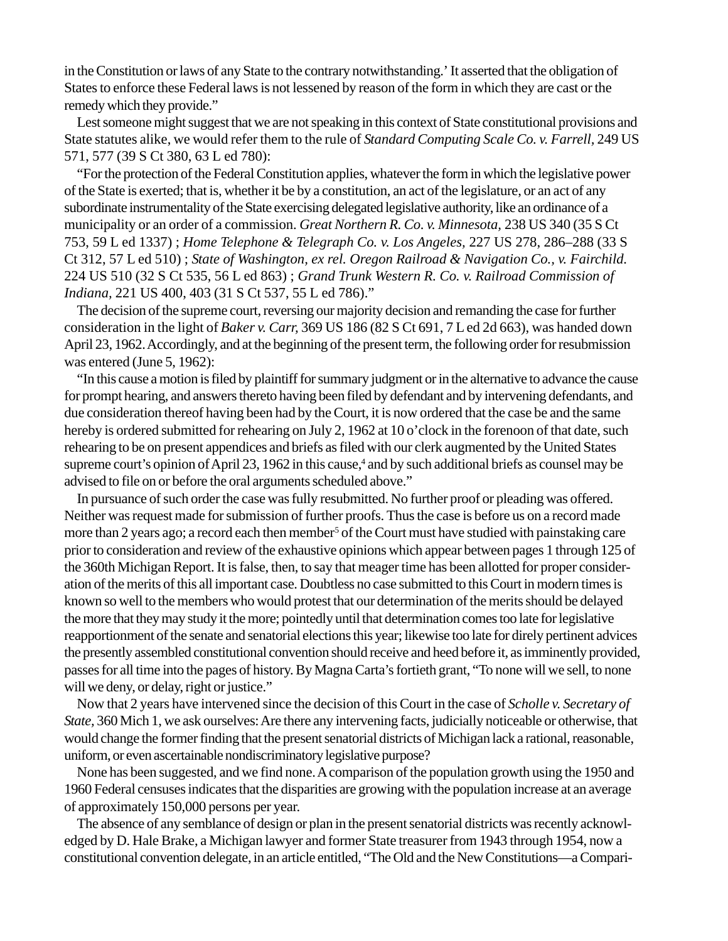in the Constitution or laws of any State to the contrary notwithstanding.' It asserted that the obligation of States to enforce these Federal laws is not lessened by reason of the form in which they are cast or the remedy which they provide."

Lest someone might suggest that we are not speaking in this context of State constitutional provisions and State statutes alike, we would refer them to the rule of *Standard Computing Scale Co. v. Farrell,* 249 US 571, 577 (39 S Ct 380, 63 L ed 780):

"For the protection of the Federal Constitution applies, whatever the form in which the legislative power of the State is exerted; that is, whether it be by a constitution, an act of the legislature, or an act of any subordinate instrumentality of the State exercising delegated legislative authority, like an ordinance of a municipality or an order of a commission. *Great Northern R. Co. v. Minnesota,* 238 US 340 (35 S Ct 753, 59 L ed 1337) ; *Home Telephone & Telegraph Co. v. Los Angeles,* 227 US 278, 286–288 (33 S Ct 312, 57 L ed 510) ; *State of Washington, ex rel. Oregon Railroad & Navigation Co., v. Fairchild.* 224 US 510 (32 S Ct 535, 56 L ed 863) ; *Grand Trunk Western R. Co. v. Railroad Commission of Indiana,* 221 US 400, 403 (31 S Ct 537, 55 L ed 786)."

The decision of the supreme court, reversing our majority decision and remanding the case for further consideration in the light of *Baker v. Carr,* 369 US 186 (82 S Ct 691, 7 L ed 2d 663), was handed down April 23, 1962. Accordingly, and at the beginning of the present term, the following order for resubmission was entered (June 5, 1962):

"In this cause a motion is filed by plaintiff for summary judgment or in the alternative to advance the cause for prompt hearing, and answers thereto having been filed by defendant and by intervening defendants, and due consideration thereof having been had by the Court, it is now ordered that the case be and the same hereby is ordered submitted for rehearing on July 2, 1962 at 10 o'clock in the forenoon of that date, such rehearing to be on present appendices and briefs as filed with our clerk augmented by the United States supreme court's opinion of April 23, 1962 in this cause,<sup>4</sup> and by such additional briefs as counsel may be advised to file on or before the oral arguments scheduled above."

In pursuance of such order the case was fully resubmitted. No further proof or pleading was offered. Neither was request made for submission of further proofs. Thus the case is before us on a record made more than 2 years ago; a record each then member<sup>5</sup> of the Court must have studied with painstaking care prior to consideration and review of the exhaustive opinions which appear between pages 1 through 125 of the 360th Michigan Report. It is false, then, to say that meager time has been allotted for proper consideration of the merits of this all important case. Doubtless no case submitted to this Court in modern times is known so well to the members who would protest that our determination of the merits should be delayed the more that they may study it the more; pointedly until that determination comes too late for legislative reapportionment of the senate and senatorial elections this year; likewise too late for direly pertinent advices the presently assembled constitutional convention should receive and heed before it, as imminently provided, passes for all time into the pages of history. By Magna Carta's fortieth grant, "To none will we sell, to none will we deny, or delay, right or justice."

Now that 2 years have intervened since the decision of this Court in the case of *Scholle v. Secretary of State,* 360 Mich 1, we ask ourselves: Are there any intervening facts, judicially noticeable or otherwise, that would change the former finding that the present senatorial districts of Michigan lack a rational, reasonable, uniform, or even ascertainable nondiscriminatory legislative purpose?

None has been suggested, and we find none. A comparison of the population growth using the 1950 and 1960 Federal censuses indicates that the disparities are growing with the population increase at an average of approximately 150,000 persons per year.

The absence of any semblance of design or plan in the present senatorial districts was recently acknowledged by D. Hale Brake, a Michigan lawyer and former State treasurer from 1943 through 1954, now a constitutional convention delegate, in an article entitled, "The Old and the New Constitutions—a Compari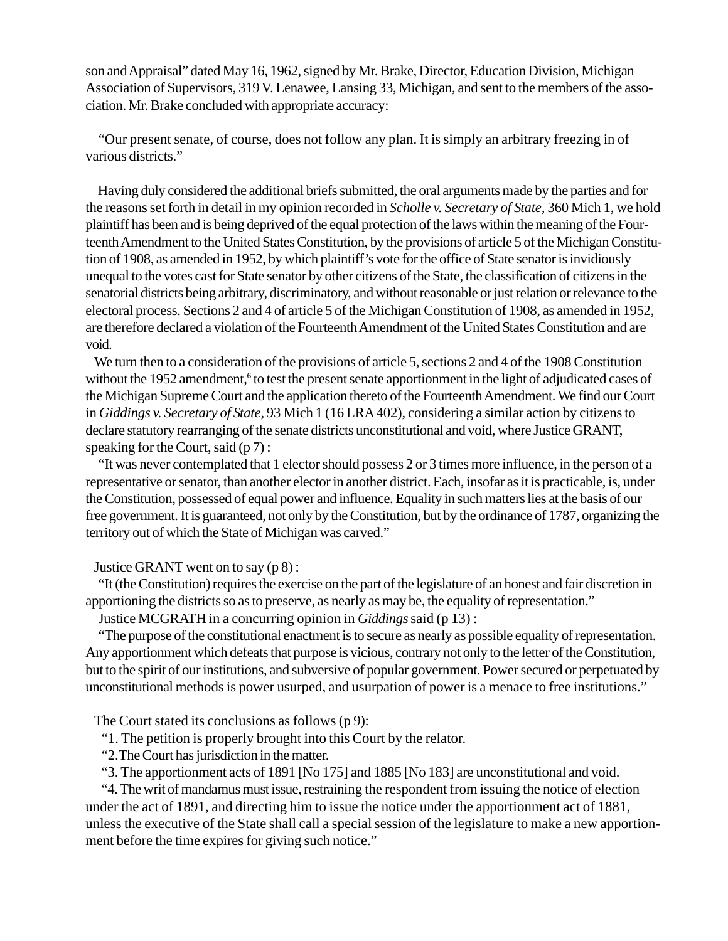son and Appraisal" dated May 16, 1962, signed by Mr. Brake, Director, Education Division, Michigan Association of Supervisors, 319 V. Lenawee, Lansing 33, Michigan, and sent to the members of the association. Mr. Brake concluded with appropriate accuracy:

"Our present senate, of course, does not follow any plan. It is simply an arbitrary freezing in of various districts."

 Having duly considered the additional briefs submitted, the oral arguments made by the parties and for the reasons set forth in detail in my opinion recorded in *Scholle v. Secretary of State,* 360 Mich 1, we hold plaintiff has been and is being deprived of the equal protection of the laws within the meaning of the Fourteenth Amendment to the United States Constitution, by the provisions of article 5 of the Michigan Constitution of 1908, as amended in 1952, by which plaintiff's vote for the office of State senator is invidiously unequal to the votes cast for State senator by other citizens of the State, the classification of citizens in the senatorial districts being arbitrary, discriminatory, and without reasonable or just relation or relevance to the electoral process. Sections 2 and 4 of article 5 of the Michigan Constitution of 1908, as amended in 1952, are therefore declared a violation of the Fourteenth Amendment of the United States Constitution and are void.

We turn then to a consideration of the provisions of article 5, sections 2 and 4 of the 1908 Constitution without the 1952 amendment,<sup>6</sup> to test the present senate apportionment in the light of adjudicated cases of the Michigan Supreme Court and the application thereto of the Fourteenth Amendment. We find our Court in *Giddings v. Secretary of State,* 93 Mich 1 (16 LRA 402), considering a similar action by citizens to declare statutory rearranging of the senate districts unconstitutional and void, where Justice GRANT, speaking for the Court, said  $(p 7)$ :

"It was never contemplated that 1 elector should possess 2 or 3 times more influence, in the person of a representative or senator, than another elector in another district. Each, insofar as it is practicable, is, under the Constitution, possessed of equal power and influence. Equality in such matters lies at the basis of our free government. It is guaranteed, not only by the Constitution, but by the ordinance of 1787, organizing the territory out of which the State of Michigan was carved."

Justice GRANT went on to say (p 8) :

"It (the Constitution) requires the exercise on the part of the legislature of an honest and fair discretion in apportioning the districts so as to preserve, as nearly as may be, the equality of representation."

Justice MCGRATH in a concurring opinion in *Giddings* said (p 13) :

"The purpose of the constitutional enactment is to secure as nearly as possible equality of representation. Any apportionment which defeats that purpose is vicious, contrary not only to the letter of the Constitution, but to the spirit of our institutions, and subversive of popular government. Power secured or perpetuated by unconstitutional methods is power usurped, and usurpation of power is a menace to free institutions."

The Court stated its conclusions as follows (p 9):

"1. The petition is properly brought into this Court by the relator.

"2.The Court has jurisdiction in the matter.

"3. The apportionment acts of 1891 [No 175] and 1885 [No 183] are unconstitutional and void.

"4. The writ of mandamus must issue, restraining the respondent from issuing the notice of election under the act of 1891, and directing him to issue the notice under the apportionment act of 1881, unless the executive of the State shall call a special session of the legislature to make a new apportionment before the time expires for giving such notice."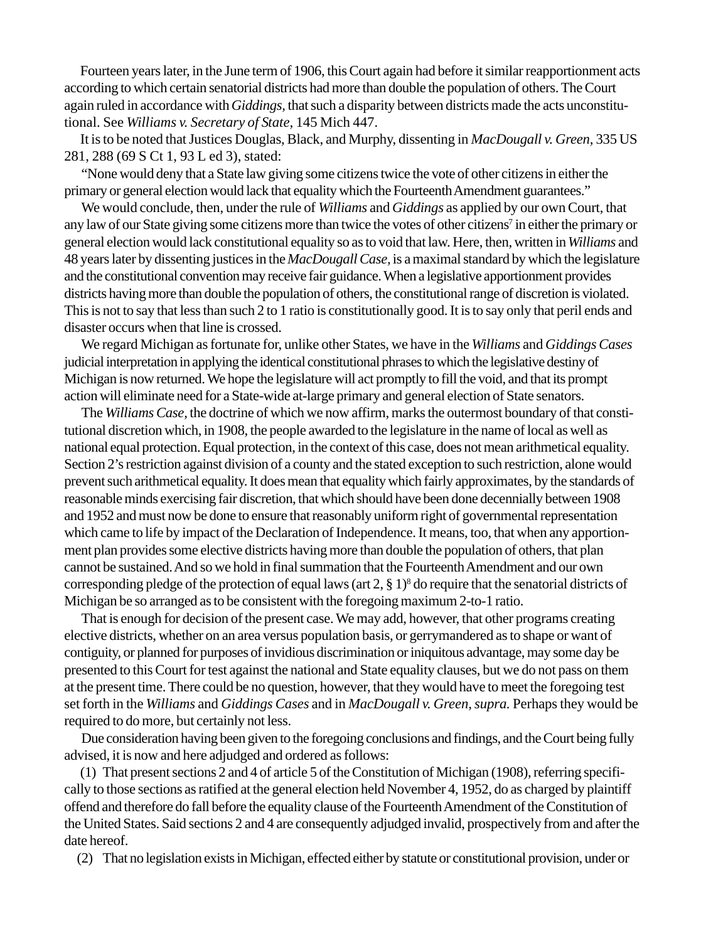Fourteen years later, in the June term of 1906, this Court again had before it similar reapportionment acts according to which certain senatorial districts had more than double the population of others. The Court again ruled in accordance with *Giddings,* that such a disparity between districts made the acts unconstitutional. See *Williams v. Secretary of State,* 145 Mich 447.

It is to be noted that Justices Douglas, Black, and Murphy, dissenting in *MacDougall v. Green,* 335 US 281, 288 (69 S Ct 1, 93 L ed 3), stated:

"None would deny that a State law giving some citizens twice the vote of other citizens in either the primary or general election would lack that equality which the Fourteenth Amendment guarantees."

We would conclude, then, under the rule of *Williams* and *Giddings* as applied by our own Court, that any law of our State giving some citizens more than twice the votes of other citizens<sup>7</sup> in either the primary or general election would lack constitutional equality so as to void that law. Here, then, written in *Williams* and 48 years later by dissenting justices in the *MacDougall Case,* is amaximal standard by which the legislature and the constitutional convention may receive fair guidance. When a legislative apportionment provides districts having more than double the population of others, the constitutional range of discretion is violated. This is not to say that less than such 2 to 1 ratio is constitutionally good. It is to say only that peril ends and disaster occurs when that line is crossed.

We regard Michigan as fortunate for, unlike other States, we have in the *Williams* and *Giddings Cases* judicial interpretation in applying the identical constitutional phrases to which the legislative destiny of Michigan is now returned. We hope the legislature will act promptly to fill the void, and that its prompt action will eliminate need for a State-wide at-large primary and general election of State senators.

The *Williams Case,* the doctrine of which we now affirm, marks the outermost boundary of that constitutional discretion which, in 1908, the people awarded to the legislature in the name of local as well as national equal protection. Equal protection, in the context of this case, does not mean arithmetical equality. Section 2's restriction against division of a county and the stated exception to such restriction, alone would prevent such arithmetical equality. It does mean that equality which fairly approximates, by the standards of reasonable minds exercising fair discretion, that which should have been done decennially between 1908 and 1952 and must now be done to ensure that reasonably uniform right of governmental representation which came to life by impact of the Declaration of Independence. It means, too, that when any apportionment plan provides some elective districts having more than double the population of others, that plan cannot be sustained. And so we hold in final summation that the Fourteenth Amendment and our own corresponding pledge of the protection of equal laws (art  $2, § 1)<sup>8</sup>$  do require that the senatorial districts of Michigan be so arranged as to be consistent with the foregoing maximum 2-to-1 ratio.

That is enough for decision of the present case. We may add, however, that other programs creating elective districts, whether on an area versus population basis, or gerrymandered as to shape or want of contiguity, or planned for purposes of invidious discrimination or iniquitous advantage, may some day be presented to this Court for test against the national and State equality clauses, but we do not pass on them at the present time. There could be no question, however, that they would have to meet the foregoing test set forth in the *Williams* and *Giddings Cases* and in *MacDougall v. Green, supra.* Perhaps they would be required to do more, but certainly not less.

Due consideration having been given to the foregoing conclusions and findings, and the Court being fully advised, it is now and here adjudged and ordered as follows:

(1) That present sections 2 and 4 of article 5 of the Constitution of Michigan (1908), referring specifically to those sections as ratified at the general election held November 4, 1952, do as charged by plaintiff offend and therefore do fall before the equality clause of the Fourteenth Amendment of the Constitution of the United States. Said sections 2 and 4 are consequently adjudged invalid, prospectively from and after the date hereof.

(2) That no legislation exists in Michigan, effected either by statute or constitutional provision, under or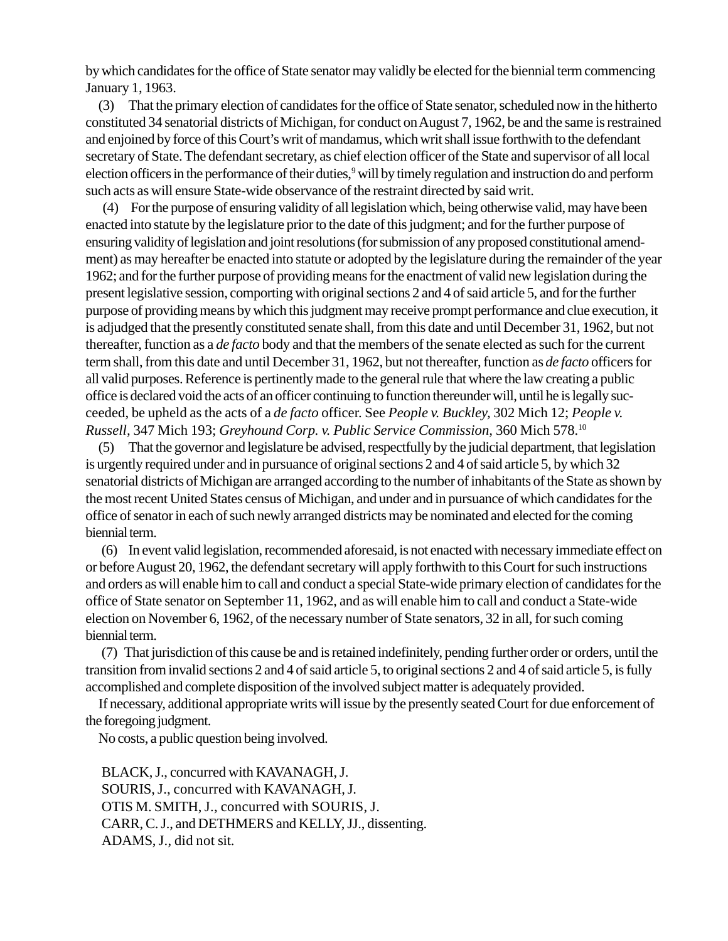by which candidates for the office of State senator may validly be elected for the biennial term commencing January 1, 1963.

(3) That the primary election of candidates for the office of State senator, scheduled now in the hitherto constituted 34 senatorial districts of Michigan, for conduct on August 7, 1962, be and the same is restrained and enjoined by force of this Court's writ of mandamus, which writ shall issue forthwith to the defendant secretary of State. The defendant secretary, as chief election officer of the State and supervisor of all local election officers in the performance of their duties,<sup>9</sup> will by timely regulation and instruction do and perform such acts as will ensure State-wide observance of the restraint directed by said writ.

(4) For the purpose of ensuring validity of all legislation which, being otherwise valid, may have been enacted into statute by the legislature prior to the date of this judgment; and for the further purpose of ensuring validity of legislation and joint resolutions (for submission of any proposed constitutional amendment) as may hereafter be enacted into statute or adopted by the legislature during the remainder of the year 1962; and for the further purpose of providing means for the enactment of valid new legislation during the present legislative session, comporting with original sections 2 and 4 of said article 5, and for the further purpose of providing means by which this judgment may receive prompt performance and clue execution, it is adjudged that the presently constituted senate shall, from this date and until December 31, 1962, but not thereafter, function as a *de facto* body and that the members of the senate elected as such for the current term shall, from this date and until December 31, 1962, but not thereafter, function as *de facto* officers for all valid purposes. Reference is pertinently made to the general rule that where the law creating a public office is declared void the acts of an officer continuing to function thereunder will, until he is legally succeeded, be upheld as the acts of a *de facto* officer. See *People v. Buckley,* 302 Mich 12; *People v. Russell,* 347 Mich 193; *Greyhound Corp. v. Public Service Commission,* 360 Mich 578.10

(5) That the governor and legislature be advised, respectfully by the judicial department, that legislation is urgently required under and in pursuance of original sections 2 and 4 of said article 5, by which 32 senatorial districts of Michigan are arranged according to the number of inhabitants of the State as shown by the most recent United States census of Michigan, and under and in pursuance of which candidates for the office of senator in each of such newly arranged districts may be nominated and elected for the coming biennial term.

(6) In event valid legislation, recommended aforesaid, is not enacted with necessary immediate effect on or before August 20, 1962, the defendant secretary will apply forthwith to this Court for such instructions and orders as will enable him to call and conduct a special State-wide primary election of candidates for the office of State senator on September 11, 1962, and as will enable him to call and conduct a State-wide election on November 6, 1962, of the necessary number of State senators, 32 in all, for such coming biennial term.

(7) That jurisdiction of this cause be and is retained indefinitely, pending further order or orders, until the transition from invalid sections 2 and 4 of said article 5, to original sections 2 and 4 of said article 5, is fully accomplished and complete disposition of the involved subject matter is adequately provided.

If necessary, additional appropriate writs will issue by the presently seated Court for due enforcement of the foregoing judgment.

No costs, a public question being involved.

BLACK, J., concurred with KAVANAGH, J. SOURIS, J., concurred with KAVANAGH, J. OTIS M. SMITH, J., concurred with SOURIS, J. CARR, C. J., and DETHMERS and KELLY, JJ., dissenting. ADAMS, J., did not sit.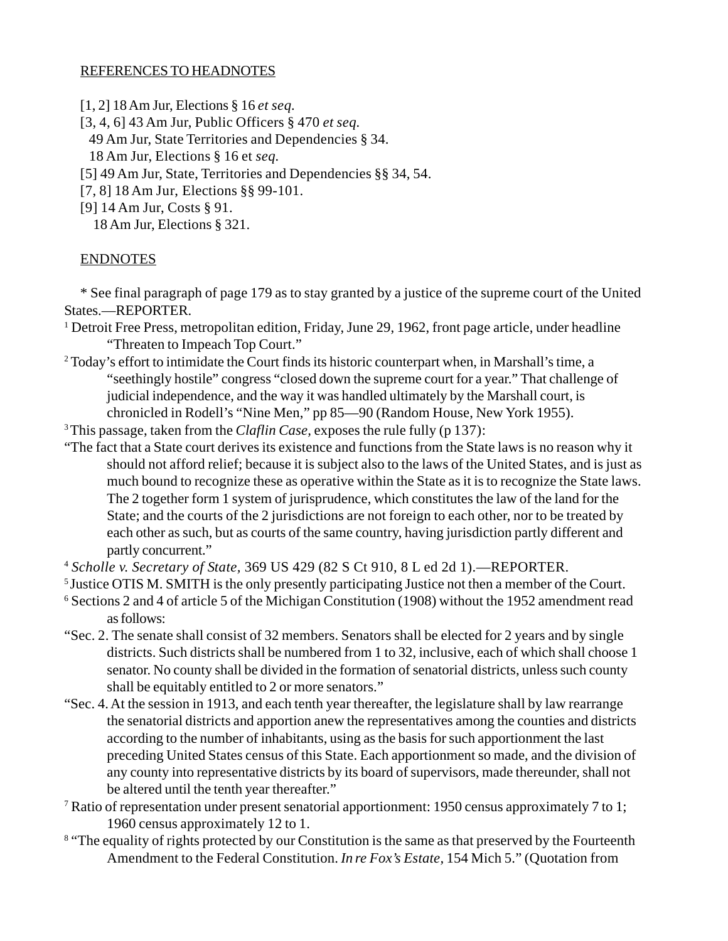#### REFERENCES TO HEADNOTES

- [1, 2] 18 Am Jur, Elections § 16 *et seq.*
- [3, 4, 6] 43 Am Jur, Public Officers § 470 *et seq.*
- 49 Am Jur, State Territories and Dependencies § 34.
- 18 Am Jur, Elections § 16 et *seq.*
- [5] 49 Am Jur, State, Territories and Dependencies §§ 34, 54.
- [7, 8] 18 Am Jur, Elections §§ 99-101.
- [9] 14 Am Jur, Costs § 91.

18 Am Jur, Elections § 321.

#### ENDNOTES

\* See final paragraph of page 179 as to stay granted by a justice of the supreme court of the United States.—REPORTER.

- <sup>1</sup> Detroit Free Press, metropolitan edition, Friday, June 29, 1962, front page article, under headline "Threaten to Impeach Top Court."
- <sup>2</sup> Today's effort to intimidate the Court finds its historic counterpart when, in Marshall's time, a "seethingly hostile" congress "closed down the supreme court for a year." That challenge of judicial independence, and the way it was handled ultimately by the Marshall court, is chronicled in Rodell's "Nine Men," pp 85—90 (Random House, New York 1955).
- 3 This passage, taken from the *Claflin Case,* exposes the rule fully (p 137):
- "The fact that a State court derives its existence and functions from the State laws is no reason why it should not afford relief; because it is subject also to the laws of the United States, and is just as much bound to recognize these as operative within the State as it is to recognize the State laws. The 2 together form 1 system of jurisprudence, which constitutes the law of the land for the State; and the courts of the 2 jurisdictions are not foreign to each other, nor to be treated by each other as such, but as courts of the same country, having jurisdiction partly different and partly concurrent."
- <sup>4</sup> *Scholle v. Secretary of State,* 369 US 429 (82 S Ct 910, 8 L ed 2d 1).—REPORTER.
- <sup>5</sup> Justice OTIS M. SMITH is the only presently participating Justice not then a member of the Court.
- <sup>6</sup> Sections 2 and 4 of article 5 of the Michigan Constitution (1908) without the 1952 amendment read as follows:
- "Sec. 2. The senate shall consist of 32 members. Senators shall be elected for 2 years and by single districts. Such districts shall be numbered from 1 to 32, inclusive, each of which shall choose 1 senator. No county shall be divided in the formation of senatorial districts, unless such county shall be equitably entitled to 2 or more senators."
- "Sec. 4. At the session in 1913, and each tenth year thereafter, the legislature shall by law rearrange the senatorial districts and apportion anew the representatives among the counties and districts according to the number of inhabitants, using as the basis for such apportionment the last preceding United States census of this State. Each apportionment so made, and the division of any county into representative districts by its board of supervisors, made thereunder, shall not be altered until the tenth year thereafter."
- <sup>7</sup> Ratio of representation under present senatorial apportionment: 1950 census approximately 7 to 1; 1960 census approximately 12 to 1.
- <sup>8</sup> "The equality of rights protected by our Constitution is the same as that preserved by the Fourteenth Amendment to the Federal Constitution. *In re Fox's Estate,* 154 Mich 5." (Quotation from